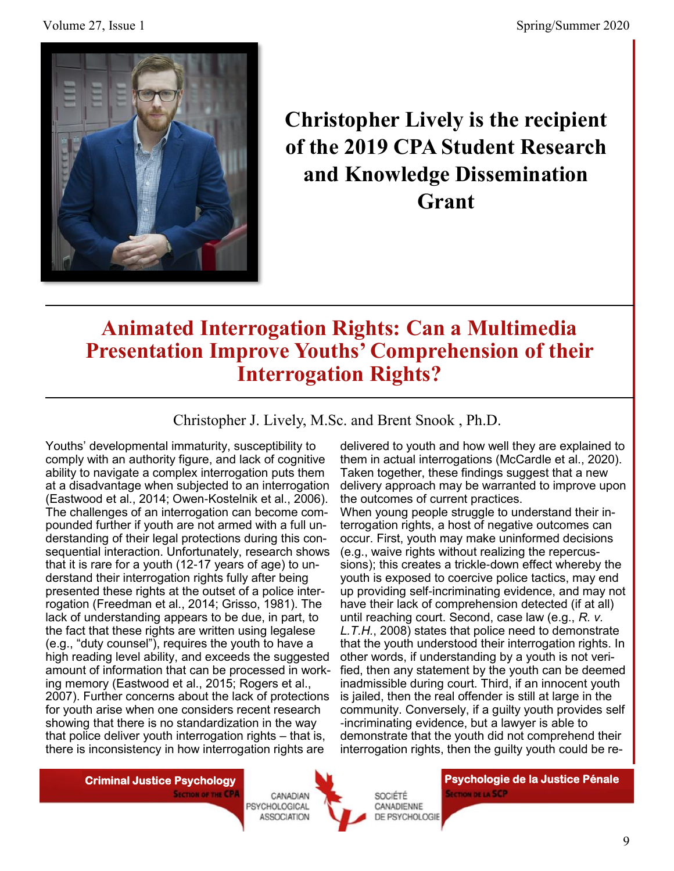

**Christopher Lively is the recipient of the 2019 CPA Student Research and Knowledge Dissemination Grant** 

## **Animated Interrogation Rights: Can a Multimedia Presentation Improve Youths' Comprehension of their Interrogation Rights?**

Christopher J. Lively, M.Sc. and Brent Snook , Ph.D.

Youths' developmental immaturity, susceptibility to comply with an authority figure, and lack of cognitive ability to navigate a complex interrogation puts them at a disadvantage when subjected to an interrogation (Eastwood et al., 2014; Owen-Kostelnik et al., 2006). The challenges of an interrogation can become compounded further if youth are not armed with a full understanding of their legal protections during this consequential interaction. Unfortunately, research shows that it is rare for a youth (12-17 years of age) to understand their interrogation rights fully after being presented these rights at the outset of a police interrogation (Freedman et al., 2014; Grisso, 1981). The lack of understanding appears to be due, in part, to the fact that these rights are written using legalese (e.g., "duty counsel"), requires the youth to have a high reading level ability, and exceeds the suggested amount of information that can be processed in working memory (Eastwood et al., 2015; Rogers et al., 2007). Further concerns about the lack of protections for youth arise when one considers recent research showing that there is no standardization in the way that police deliver youth interrogation rights – that is, there is inconsistency in how interrogation rights are

delivered to youth and how well they are explained to them in actual interrogations (McCardle et al., 2020). Taken together, these findings suggest that a new delivery approach may be warranted to improve upon the outcomes of current practices.

When young people struggle to understand their interrogation rights, a host of negative outcomes can occur. First, youth may make uninformed decisions (e.g., waive rights without realizing the repercussions); this creates a trickle-down effect whereby the youth is exposed to coercive police tactics, may end up providing self-incriminating evidence, and may not have their lack of comprehension detected (if at all) until reaching court. Second, case law (e.g., *R. v. L.T.H.*, 2008) states that police need to demonstrate that the youth understood their interrogation rights. In other words, if understanding by a youth is not verified, then any statement by the youth can be deemed inadmissible during court. Third, if an innocent youth is jailed, then the real offender is still at large in the community. Conversely, if a guilty youth provides self -incriminating evidence, but a lawyer is able to demonstrate that the youth did not comprehend their interrogation rights, then the guilty youth could be re-

**SECTION OF THE CPA** 





**Criminal Justice Psychology | Criminal Justice Pénale | Psychologie de la Justice Pénale | Psychologie de la Justice Pénale SECTION DE LA SCP**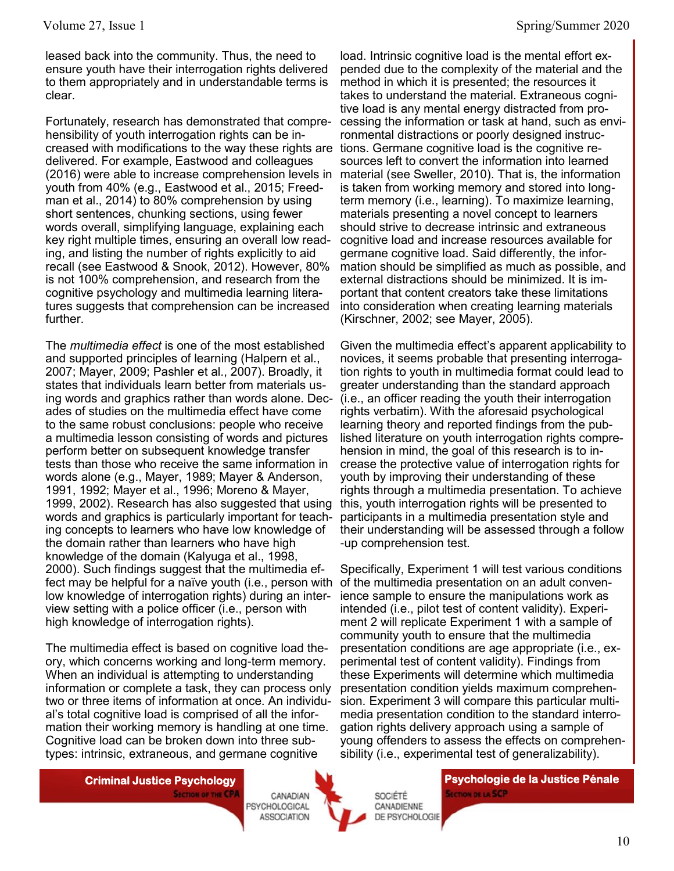leased back into the community. Thus, the need to ensure youth have their interrogation rights delivered to them appropriately and in understandable terms is clear.

Fortunately, research has demonstrated that comprehensibility of youth interrogation rights can be increased with modifications to the way these rights are delivered. For example, Eastwood and colleagues (2016) were able to increase comprehension levels in youth from 40% (e.g., Eastwood et al., 2015; Freedman et al., 2014) to 80% comprehension by using short sentences, chunking sections, using fewer words overall, simplifying language, explaining each key right multiple times, ensuring an overall low reading, and listing the number of rights explicitly to aid recall (see Eastwood & Snook, 2012). However, 80% is not 100% comprehension, and research from the cognitive psychology and multimedia learning literatures suggests that comprehension can be increased further.

The *multimedia effect* is one of the most established and supported principles of learning (Halpern et al., 2007; Mayer, 2009; Pashler et al., 2007). Broadly, it states that individuals learn better from materials using words and graphics rather than words alone. Decades of studies on the multimedia effect have come to the same robust conclusions: people who receive a multimedia lesson consisting of words and pictures perform better on subsequent knowledge transfer tests than those who receive the same information in words alone (e.g., Mayer, 1989; Mayer & Anderson, 1991, 1992; Mayer et al., 1996; Moreno & Mayer, 1999, 2002). Research has also suggested that using words and graphics is particularly important for teaching concepts to learners who have low knowledge of the domain rather than learners who have high knowledge of the domain (Kalyuga et al., 1998, 2000). Such findings suggest that the multimedia effect may be helpful for a naïve youth (i.e., person with low knowledge of interrogation rights) during an interview setting with a police officer (i.e., person with high knowledge of interrogation rights).

The multimedia effect is based on cognitive load theory, which concerns working and long-term memory. When an individual is attempting to understanding information or complete a task, they can process only two or three items of information at once. An individual's total cognitive load is comprised of all the information their working memory is handling at one time. Cognitive load can be broken down into three subtypes: intrinsic, extraneous, and germane cognitive

load. Intrinsic cognitive load is the mental effort expended due to the complexity of the material and the method in which it is presented; the resources it takes to understand the material. Extraneous cognitive load is any mental energy distracted from processing the information or task at hand, such as environmental distractions or poorly designed instructions. Germane cognitive load is the cognitive resources left to convert the information into learned material (see Sweller, 2010). That is, the information is taken from working memory and stored into longterm memory (i.e., learning). To maximize learning, materials presenting a novel concept to learners should strive to decrease intrinsic and extraneous cognitive load and increase resources available for germane cognitive load. Said differently, the information should be simplified as much as possible, and external distractions should be minimized. It is important that content creators take these limitations into consideration when creating learning materials (Kirschner, 2002; see Mayer, 2005).

Given the multimedia effect's apparent applicability to novices, it seems probable that presenting interrogation rights to youth in multimedia format could lead to greater understanding than the standard approach (i.e., an officer reading the youth their interrogation rights verbatim). With the aforesaid psychological learning theory and reported findings from the published literature on youth interrogation rights comprehension in mind, the goal of this research is to increase the protective value of interrogation rights for youth by improving their understanding of these rights through a multimedia presentation. To achieve this, youth interrogation rights will be presented to participants in a multimedia presentation style and their understanding will be assessed through a follow -up comprehension test.

Specifically, Experiment 1 will test various conditions of the multimedia presentation on an adult convenience sample to ensure the manipulations work as intended (i.e., pilot test of content validity). Experiment 2 will replicate Experiment 1 with a sample of community youth to ensure that the multimedia presentation conditions are age appropriate (i.e., experimental test of content validity). Findings from these Experiments will determine which multimedia presentation condition yields maximum comprehension. Experiment 3 will compare this particular multimedia presentation condition to the standard interrogation rights delivery approach using a sample of young offenders to assess the effects on comprehensibility (i.e., experimental test of generalizability).

**SECTION OF THE CPA** 

CANADIAN PSYCHOLOGICAL **ASSOCIATION** 



SOCIÉTÉ CANADIENNE DE PSYCHOLOGIE

**Criminal Justice Psychology | Criminal Justice Pénale | Psychologie de la Justice Pénale | Psychologie de la Justice Pénale | Psychologie de la Justice Pénale | Psychologie de la Justice Pénale | Psychologie de la Justice SECTION DE LA SCP**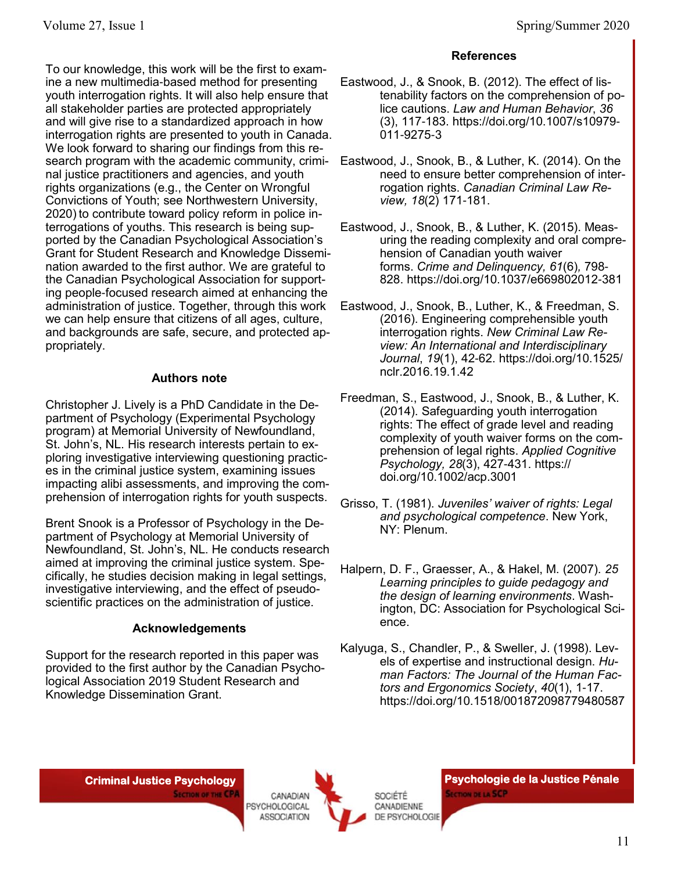To our knowledge, this work will be the first to examine a new multimedia-based method for presenting youth interrogation rights. It will also help ensure that all stakeholder parties are protected appropriately and will give rise to a standardized approach in how interrogation rights are presented to youth in Canada. We look forward to sharing our findings from this research program with the academic community, criminal justice practitioners and agencies, and youth rights organizations (e.g., the Center on Wrongful Convictions of Youth; see Northwestern University, 2020) to contribute toward policy reform in police interrogations of youths. This research is being supported by the Canadian Psychological Association's Grant for Student Research and Knowledge Dissemination awarded to the first author. We are grateful to the Canadian Psychological Association for supporting people-focused research aimed at enhancing the administration of justice. Together, through this work we can help ensure that citizens of all ages, culture, and backgrounds are safe, secure, and protected appropriately.

## **Authors note**

Christopher J. Lively is a PhD Candidate in the Department of Psychology (Experimental Psychology program) at Memorial University of Newfoundland, St. John's, NL. His research interests pertain to exploring investigative interviewing questioning practices in the criminal justice system, examining issues impacting alibi assessments, and improving the comprehension of interrogation rights for youth suspects.

Brent Snook is a Professor of Psychology in the Department of Psychology at Memorial University of Newfoundland, St. John's, NL. He conducts research aimed at improving the criminal justice system. Specifically, he studies decision making in legal settings, investigative interviewing, and the effect of pseudoscientific practices on the administration of justice.

## **Acknowledgements**

Support for the research reported in this paper was provided to the first author by the Canadian Psychological Association 2019 Student Research and Knowledge Dissemination Grant.

## **References**

- Eastwood, J., & Snook, B. (2012). The effect of listenability factors on the comprehension of police cautions. *Law and Human Behavior*, *36* (3), 117-183. https://doi.org/10.1007/s10979- 011-9275-3
- Eastwood, J., Snook, B., & Luther, K. (2014). On the need to ensure better comprehension of interrogation rights. *Canadian Criminal Law Review, 18*(2) 171-181.
- Eastwood, J., Snook, B., & Luther, K. (2015). Measuring the reading complexity and oral comprehension of Canadian youth waiver forms. *Crime and Delinquency, 61*(6)*,* 798- 828. https://doi.org/10.1037/e669802012-381
- Eastwood, J., Snook, B., Luther, K., & Freedman, S. (2016). Engineering comprehensible youth interrogation rights. *New Criminal Law Review: An International and Interdisciplinary Journal*, *19*(1), 42-62. https://doi.org/10.1525/ nclr.2016.19.1.42
- Freedman, S., Eastwood, J., Snook, B., & Luther, K. (2014). Safeguarding youth interrogation rights: The effect of grade level and reading complexity of youth waiver forms on the comprehension of legal rights. *Applied Cognitive Psychology, 28*(3), 427-431. https:// doi.org/10.1002/acp.3001
- Grisso, T. (1981). *Juveniles' waiver of rights: Legal and psychological competence*. New York, NY: Plenum.
- Halpern, D. F., Graesser, A., & Hakel, M. (2007). *25 Learning principles to guide pedagogy and the design of learning environments*. Washington, DC: Association for Psychological Science.
- Kalyuga, S., Chandler, P., & Sweller, J. (1998). Levels of expertise and instructional design. *Human Factors: The Journal of the Human Factors and Ergonomics Society*, *40*(1), 1-17. https://doi.org/10.1518/001872098779480587

**SECTION OF THE CPA** 





**Criminal Justice Psychology | Criminal Justice Pénale | Psychologie de la Justice Pénale | Psychologie de la Justice Pénale SECTION DE LA SCP**